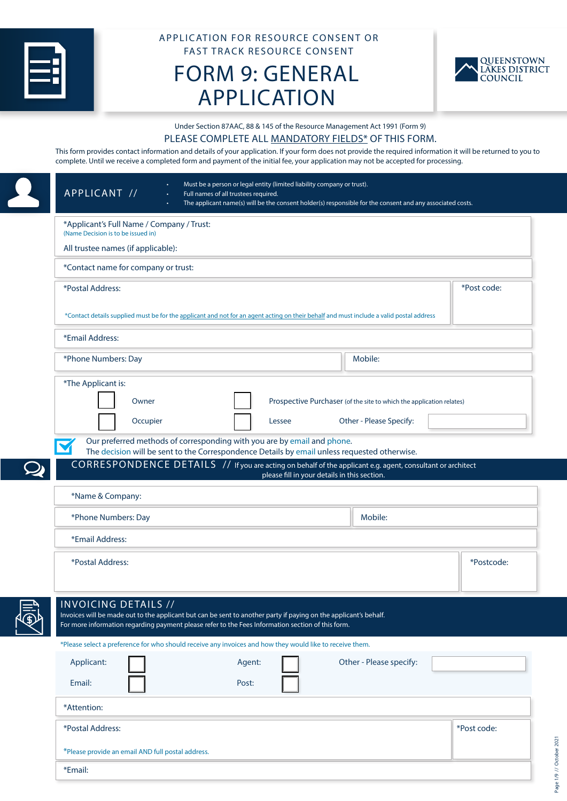

# APPLICATION FOR RESOURCE CONSENT OR FAST TRACK RESOURCE CONSENT

# FORM 9: GENERAL APPLICATION



Page 1/9 // October 2021

Page 1/9 // October 2021

Under Section 87AAC, 88 & 145 of the Resource Management Act 1991 (Form 9)

#### PLEASE COMPLETE ALL MANDATORY FIELDS\* OF THIS FORM.

This form provides contact information and details of your application. If your form does not provide the required information it will be returned to you to complete. Until we receive a completed form and payment of the initial fee, your application may not be accepted for processing.

| APPLICANT //                                                                    | Must be a person or legal entity (limited liability company or trust).<br>Full names of all trustees required.<br>The applicant name(s) will be the consent holder(s) responsible for the consent and any associated costs. |                                                                      |             |
|---------------------------------------------------------------------------------|-----------------------------------------------------------------------------------------------------------------------------------------------------------------------------------------------------------------------------|----------------------------------------------------------------------|-------------|
| *Applicant's Full Name / Company / Trust:<br>(Name Decision is to be issued in) |                                                                                                                                                                                                                             |                                                                      |             |
| All trustee names (if applicable):                                              |                                                                                                                                                                                                                             |                                                                      |             |
| *Contact name for company or trust:                                             |                                                                                                                                                                                                                             |                                                                      |             |
| *Postal Address:                                                                |                                                                                                                                                                                                                             |                                                                      | *Post code: |
|                                                                                 | *Contact details supplied must be for the applicant and not for an agent acting on their behalf and must include a valid postal address                                                                                     |                                                                      |             |
| *Email Address:                                                                 |                                                                                                                                                                                                                             |                                                                      |             |
| *Phone Numbers: Day                                                             |                                                                                                                                                                                                                             | Mobile:                                                              |             |
| *The Applicant is:                                                              |                                                                                                                                                                                                                             |                                                                      |             |
| Owner                                                                           |                                                                                                                                                                                                                             | Prospective Purchaser (of the site to which the application relates) |             |
| Occupier                                                                        | Lessee                                                                                                                                                                                                                      | Other - Please Specify:                                              |             |
|                                                                                 | Our preferred methods of corresponding with you are by email and phone.<br>The decision will be sent to the Correspondence Details by email unless requested otherwise.                                                     |                                                                      |             |
|                                                                                 | CORRESPONDENCE DETAILS // If you are acting on behalf of the applicant e.g. agent, consultant or architect<br>please fill in your details in this section.                                                                  |                                                                      |             |
| *Name & Company:                                                                |                                                                                                                                                                                                                             |                                                                      |             |
| *Phone Numbers: Day                                                             |                                                                                                                                                                                                                             | Mobile:                                                              |             |
|                                                                                 |                                                                                                                                                                                                                             |                                                                      |             |
| *Email Address:                                                                 |                                                                                                                                                                                                                             |                                                                      |             |
| *Postal Address:                                                                |                                                                                                                                                                                                                             |                                                                      | *Postcode:  |
| <b>INVOICING DETAILS //</b>                                                     | Invoices will be made out to the applicant but can be sent to another party if paying on the applicant's behalf.<br>For more information regarding payment please refer to the Fees Information section of this form.       |                                                                      |             |
|                                                                                 | *Please select a preference for who should receive any invoices and how they would like to receive them.                                                                                                                    |                                                                      |             |
| Applicant:                                                                      | Agent:                                                                                                                                                                                                                      | Other - Please specify:                                              |             |
| Email:                                                                          | Post:                                                                                                                                                                                                                       |                                                                      |             |
| *Attention:                                                                     |                                                                                                                                                                                                                             |                                                                      |             |
| *Postal Address:                                                                |                                                                                                                                                                                                                             |                                                                      | *Post code: |
| *Please provide an email AND full postal address.                               |                                                                                                                                                                                                                             |                                                                      |             |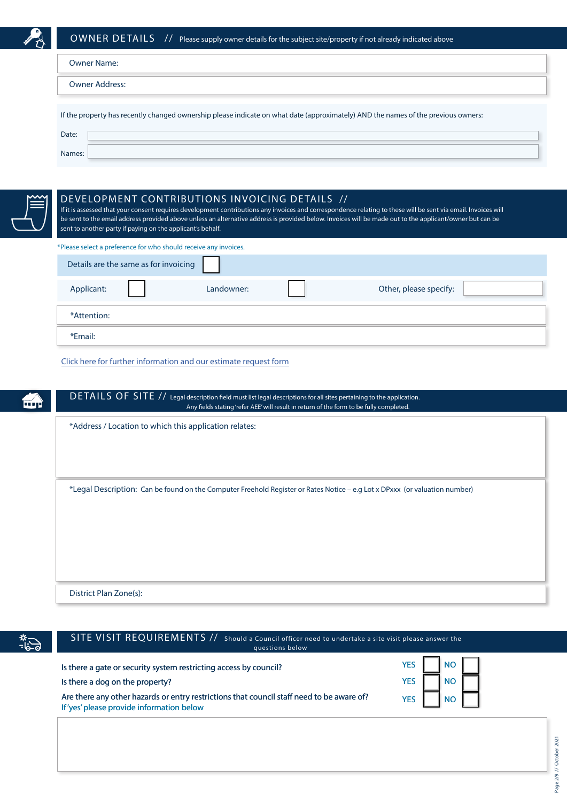

| <b>Owner Name:</b>                                                                                                                |
|-----------------------------------------------------------------------------------------------------------------------------------|
| <b>Owner Address:</b>                                                                                                             |
| If the property has recently changed ownership please indicate on what date (approximately) AND the names of the previous owners: |
| Date:                                                                                                                             |
| Names:                                                                                                                            |



## DEVELOPMENT CONTRIBUTIONS INVOICING DETAILS //

If it is assessed that your consent requires development contributions any invoices and correspondence relating to these will be sent via email. Invoices will be sent to the email address provided above unless an alternative address is provided below. Invoices will be made out to the applicant/owner but can be sent to another party if paying on the applicant's behalf.

| *Please select a preference for who should receive any invoices. |            |  |                        |  |  |  |
|------------------------------------------------------------------|------------|--|------------------------|--|--|--|
| Details are the same as for invoicing                            |            |  |                        |  |  |  |
| Applicant:                                                       | Landowner: |  | Other, please specify: |  |  |  |
| *Attention:                                                      |            |  |                        |  |  |  |
| *Email:                                                          |            |  |                        |  |  |  |

[Click here for further information and our estimate request form](https://www.qldc.govt.nz/planning/development-contributions/)

| *Legal Description: Can be found on the Computer Freehold Register or Rates Notice – e.g Lot x DPxxx (or valuation number) |
|----------------------------------------------------------------------------------------------------------------------------|
|                                                                                                                            |
|                                                                                                                            |
|                                                                                                                            |
|                                                                                                                            |
|                                                                                                                            |



SITE VISIT REQUIREMENTS // SITE VISIT REQUIREMENTS // Should a Council officer need to undertake a site visit please answer the questions below

| Is there a gate or security system restricting access by council?                                                                      | <b>YES</b> |                                  |  |
|----------------------------------------------------------------------------------------------------------------------------------------|------------|----------------------------------|--|
| Is there a dog on the property?                                                                                                        | YES        | $\blacksquare$ NO $\blacksquare$ |  |
| Are there any other hazards or entry restrictions that council staff need to be aware of?<br>If 'yes' please provide information below | <b>YES</b> | I NO I                           |  |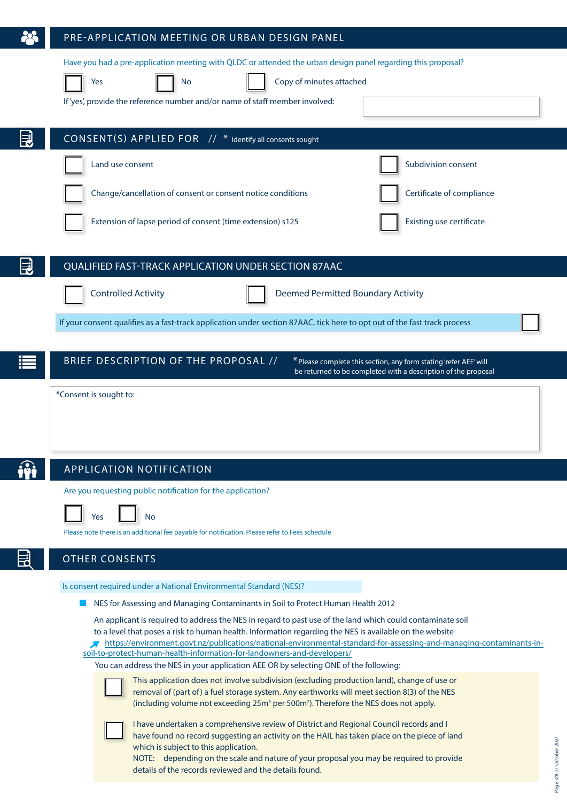|   | PRE-APPLICATION MEETING OR URBAN DESIGN PANEL                                                                                                                                                                                                                                                                                                                                                                                                                                                                                                                                                                                                                                                        |                          |
|---|------------------------------------------------------------------------------------------------------------------------------------------------------------------------------------------------------------------------------------------------------------------------------------------------------------------------------------------------------------------------------------------------------------------------------------------------------------------------------------------------------------------------------------------------------------------------------------------------------------------------------------------------------------------------------------------------------|--------------------------|
|   | Have you had a pre-application meeting with QLDC or attended the urban design panel regarding this proposal?<br>Copy of minutes attached<br>Yes<br>No<br>If 'yes', provide the reference number and/or name of staff member involved:                                                                                                                                                                                                                                                                                                                                                                                                                                                                |                          |
| 罠 | CONSENT(S) APPLIED FOR // * Identify all consents sought                                                                                                                                                                                                                                                                                                                                                                                                                                                                                                                                                                                                                                             |                          |
|   | Land use consent<br>Subdivision consent                                                                                                                                                                                                                                                                                                                                                                                                                                                                                                                                                                                                                                                              |                          |
|   | Certificate of compliance<br>Change/cancellation of consent or consent notice conditions                                                                                                                                                                                                                                                                                                                                                                                                                                                                                                                                                                                                             |                          |
|   | <b>Existing use certificate</b><br>Extension of lapse period of consent (time extension) s125                                                                                                                                                                                                                                                                                                                                                                                                                                                                                                                                                                                                        |                          |
|   | <b>QUALIFIED FAST-TRACK APPLICATION UNDER SECTION 87AAC</b>                                                                                                                                                                                                                                                                                                                                                                                                                                                                                                                                                                                                                                          |                          |
|   | <b>Controlled Activity</b><br><b>Deemed Permitted Boundary Activity</b>                                                                                                                                                                                                                                                                                                                                                                                                                                                                                                                                                                                                                              |                          |
|   | If your consent qualifies as a fast-track application under section 87AAC, tick here to opt out of the fast track process                                                                                                                                                                                                                                                                                                                                                                                                                                                                                                                                                                            |                          |
|   | BRIEF DESCRIPTION OF THE PROPOSAL //<br>* Please complete this section, any form stating 'refer AEE' will<br>be returned to be completed with a description of the proposal                                                                                                                                                                                                                                                                                                                                                                                                                                                                                                                          |                          |
|   | *Consent is sought to:                                                                                                                                                                                                                                                                                                                                                                                                                                                                                                                                                                                                                                                                               |                          |
|   | <b>APPLICATION NOTIFICATION</b>                                                                                                                                                                                                                                                                                                                                                                                                                                                                                                                                                                                                                                                                      |                          |
|   | Are you requesting public notification for the application?<br><b>No</b><br>Yes<br>Please note there is an additional fee payable for notification. Please refer to Fees schedule                                                                                                                                                                                                                                                                                                                                                                                                                                                                                                                    |                          |
|   | <b>OTHER CONSENTS</b>                                                                                                                                                                                                                                                                                                                                                                                                                                                                                                                                                                                                                                                                                |                          |
|   | Is consent required under a National Environmental Standard (NES)?                                                                                                                                                                                                                                                                                                                                                                                                                                                                                                                                                                                                                                   |                          |
|   | NES for Assessing and Managing Contaminants in Soil to Protect Human Health 2012<br>An applicant is required to address the NES in regard to past use of the land which could contaminate soil<br>to a level that poses a risk to human health. Information regarding the NES is available on the website<br>https://environment.govt.nz/publications/national-environmental-standard-for-assessing-and-managing-contaminants-in-<br>soil-to-protect-human-health-information-for-landowners-and-developers/<br>You can address the NES in your application AEE OR by selecting ONE of the following:<br>This application does not involve subdivision (excluding production land), change of use or |                          |
|   | removal of (part of) a fuel storage system. Any earthworks will meet section 8(3) of the NES<br>(including volume not exceeding 25m <sup>3</sup> per 500m <sup>2</sup> ). Therefore the NES does not apply.<br>I have undertaken a comprehensive review of District and Regional Council records and I<br>have found no record suggesting an activity on the HAIL has taken place on the piece of land<br>which is subject to this application.<br>NOTE: depending on the scale and nature of your proposal you may be required to provide<br>details of the records reviewed and the details found.                                                                                                 | Page 3/9 // October 2021 |
|   |                                                                                                                                                                                                                                                                                                                                                                                                                                                                                                                                                                                                                                                                                                      |                          |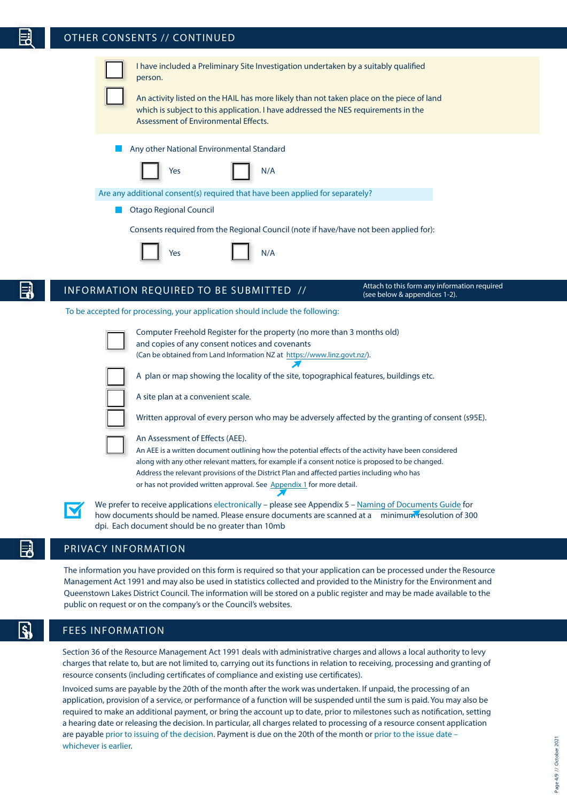# OTHER CONSENTS // CONTINUED





We prefer to receive applications electronically – please see Appendix 5 – [Naming of Documents Guide](#page-8-0) for how documents should be named. Please ensure documents are scanned at a minimum resolution of 300 dpi. Each document should be no greater than 10mb

Address the relevant provisions of the District Plan and affected parties including who has

or has not provided written approval. See [Appendix 1](#page-6-0) for more detail.

## PRIVACY INFORMATION

The information you have provided on this form is required so that your application can be processed under the Resource Management Act 1991 and may also be used in statistics collected and provided to the Ministry for the Environment and Queenstown Lakes District Council. The information will be stored on a public register and may be made available to the public on request or on the company's or the Council's websites.

# FEES INFORMATION

Section 36 of the Resource Management Act 1991 deals with administrative charges and allows a local authority to levy charges that relate to, but are not limited to, carrying out its functions in relation to receiving, processing and granting of resource consents (including certificates of compliance and existing use certificates).

Invoiced sums are payable by the 20th of the month after the work was undertaken. If unpaid, the processing of an application, provision of a service, or performance of a function will be suspended until the sum is paid. You may also be required to make an additional payment, or bring the account up to date, prior to milestones such as notification, setting a hearing date or releasing the decision. In particular, all charges related to processing of a resource consent application are payable prior to issuing of the decision. Payment is due on the 20th of the month or prior to the issue date – whichever is earlier.

Page 4/9 // October 2021

Page 4/9 // October 202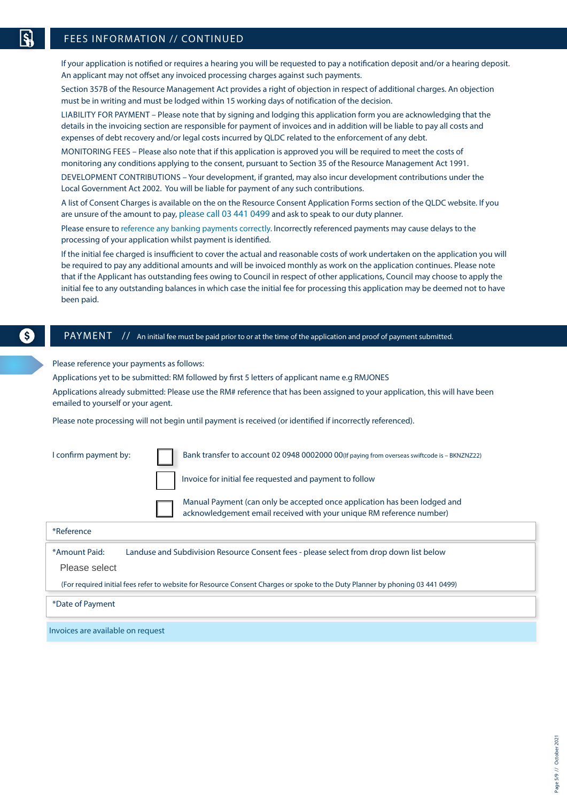$\mathsf{\$}$ 

# FEES INFORMATION // CONTINUED

If your application is notified or requires a hearing you will be requested to pay a notification deposit and/or a hearing deposit. An applicant may not offset any invoiced processing charges against such payments.

Section 357B of the Resource Management Act provides a right of objection in respect of additional charges. An objection must be in writing and must be lodged within 15 working days of notification of the decision.

LIABILITY FOR PAYMENT – Please note that by signing and lodging this application form you are acknowledging that the details in the invoicing section are responsible for payment of invoices and in addition will be liable to pay all costs and expenses of debt recovery and/or legal costs incurred by QLDC related to the enforcement of any debt.

MONITORING FEES – Please also note that if this application is approved you will be required to meet the costs of monitoring any conditions applying to the consent, pursuant to Section 35 of the Resource Management Act 1991.

DEVELOPMENT CONTRIBUTIONS – Your development, if granted, may also incur development contributions under the Local Government Act 2002. You will be liable for payment of any such contributions.

A list of Consent Charges is available on the on the Resource Consent Application Forms section of the QLDC website. If you are unsure of the amount to pay, please call 03 441 0499 and ask to speak to our duty planner.

Please ensure to reference any banking payments correctly. Incorrectly referenced payments may cause delays to the processing of your application whilst payment is identified.

If the initial fee charged is insufficient to cover the actual and reasonable costs of work undertaken on the application you will be required to pay any additional amounts and will be invoiced monthly as work on the application continues. Please note that if the Applicant has outstanding fees owing to Council in respect of other applications, Council may choose to apply the initial fee to any outstanding balances in which case the initial fee for processing this application may be deemed not to have been paid.

## PAYMENT // An initial fee must be paid prior to or at the time of the application and proof of payment submitted.

Please reference your payments as follows:

Applications yet to be submitted: RM followed by first 5 letters of applicant name e.g RMJONES

Applications already submitted: Please use the RM# reference that has been assigned to your application, this will have been emailed to yourself or your agent.

Please note processing will not begin until payment is received (or identified if incorrectly referenced).

| I confirm payment by:                                                                                                         |  | Bank transfer to account 02 0948 0002000 00(If paying from overseas swiftcode is - BKNZNZ22)                                                      |  |  |
|-------------------------------------------------------------------------------------------------------------------------------|--|---------------------------------------------------------------------------------------------------------------------------------------------------|--|--|
|                                                                                                                               |  | Invoice for initial fee requested and payment to follow                                                                                           |  |  |
|                                                                                                                               |  | Manual Payment (can only be accepted once application has been lodged and<br>acknowledgement email received with your unique RM reference number) |  |  |
| *Reference                                                                                                                    |  |                                                                                                                                                   |  |  |
| *Amount Paid:<br>Landuse and Subdivision Resource Consent fees - please select from drop down list below<br>Please select     |  |                                                                                                                                                   |  |  |
| (For required initial fees refer to website for Resource Consent Charges or spoke to the Duty Planner by phoning 03 441 0499) |  |                                                                                                                                                   |  |  |
| *Date of Payment                                                                                                              |  |                                                                                                                                                   |  |  |
| Invoices are available on request                                                                                             |  |                                                                                                                                                   |  |  |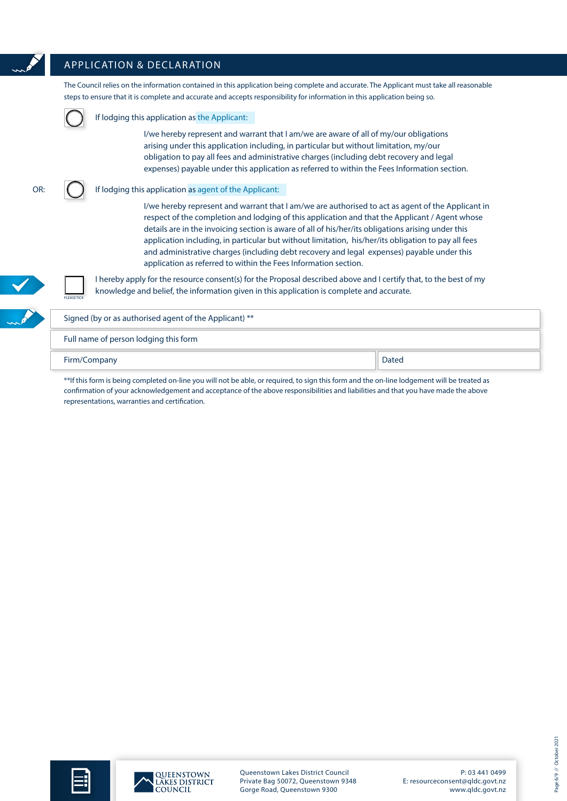# APPLICATION & DECLARATION

The Council relies on the information contained in this application being complete and accurate. The Applicant must take all reasonable steps to ensure that it is complete and accurate and accepts responsibility for information in this application being so. If lodging this application as the Applicant:

> I/we hereby represent and warrant that I am/we are aware of all of my/our obligations arising under this application including, in particular but without limitation, my/our obligation to pay all fees and administrative charges (including debt recovery and legal expenses) payable under this application as referred to within the Fees Information section.

OR:

#### If lodging this application as agent of the Applicant:

I/we hereby represent and warrant that I am/we are authorised to act as agent of the Applicant in respect of the completion and lodging of this application and that the Applicant / Agent whose details are in the invoicing section is aware of all of his/her/its obligations arising under this application including, in particular but without limitation, his/her/its obligation to pay all fees and administrative charges (including debt recovery and legal expenses) payable under this application as referred to within the Fees Information section.

PLEASE TICK

I hereby apply for the resource consent(s) for the Proposal described above and I certify that, to the best of my knowledge and belief, the information given in this application is complete and accurate.

Signed (by or as authorised agent of the Applicant) \*\* Full name of person lodging this form

Firm/Company Dated

\*\*If this form is being completed on-line you will not be able, or required, to sign this form and the on-line lodgement will be treated as confirmation of your acknowledgement and acceptance of the above responsibilities and liabilities and that you have made the above representations, warranties and certification.







Queenstown Lakes District Council Private Bag 50072, Queenstown 9348 Gorge Road, Queenstown 9300

P: 03 441 0499 E: resourceconsent@qldc.govt.nz www.qldc.govt.nz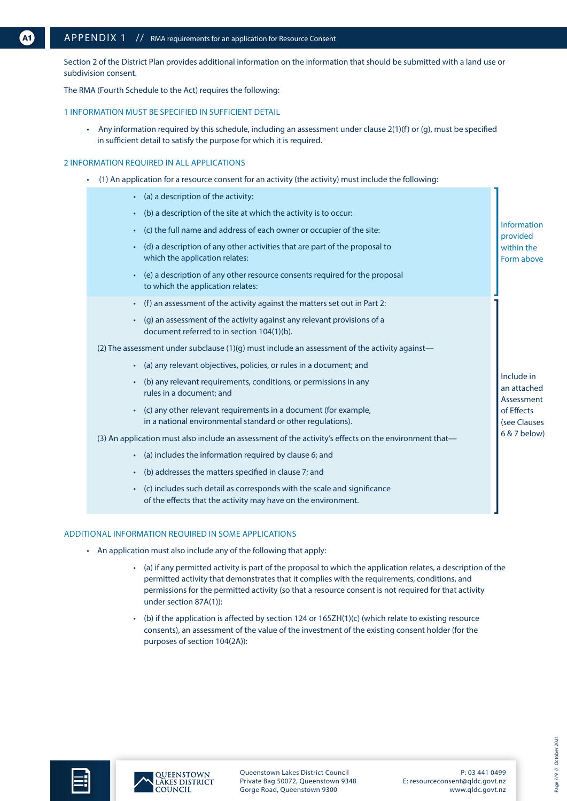<span id="page-6-0"></span>Section 2 of the District Plan provides additional information on the information that should be submitted with a land use or subdivision consent.

The RMA (Fourth Schedule to the Act) requires the following:

#### 1 INFORMATION MUST BE SPECIFIED IN SUFFICIENT DETAIL

• Any information required by this schedule, including an assessment under clause 2(1)(f) or (g), must be specified in sufficient detail to satisfy the purpose for which it is required.

#### 2 INFORMATION REQUIRED IN ALL APPLICATIONS

• (1) An application for a resource consent for an activity (the activity) must include the following:

| (a) a description of the activity:                                                                                                       |                                         |  |  |  |  |
|------------------------------------------------------------------------------------------------------------------------------------------|-----------------------------------------|--|--|--|--|
| (b) a description of the site at which the activity is to occur:                                                                         |                                         |  |  |  |  |
| (c) the full name and address of each owner or occupier of the site:                                                                     | Information<br>provided                 |  |  |  |  |
| (d) a description of any other activities that are part of the proposal to<br>which the application relates:                             | within the<br>Form above                |  |  |  |  |
| (e) a description of any other resource consents required for the proposal<br>to which the application relates:                          |                                         |  |  |  |  |
| (f) an assessment of the activity against the matters set out in Part 2:                                                                 |                                         |  |  |  |  |
| (g) an assessment of the activity against any relevant provisions of a<br>document referred to in section 104(1)(b).                     |                                         |  |  |  |  |
| (2) The assessment under subclause $(1)(q)$ must include an assessment of the activity against—                                          |                                         |  |  |  |  |
| (a) any relevant objectives, policies, or rules in a document; and                                                                       |                                         |  |  |  |  |
| (b) any relevant requirements, conditions, or permissions in any<br>rules in a document; and                                             | Include in<br>an attached<br>Assessment |  |  |  |  |
| (c) any other relevant requirements in a document (for example,<br>in a national environmental standard or other regulations).           | of Effects<br>(see Clauses              |  |  |  |  |
| (3) An application must also include an assessment of the activity's effects on the environment that-                                    |                                         |  |  |  |  |
| (a) includes the information required by clause 6; and                                                                                   |                                         |  |  |  |  |
| (b) addresses the matters specified in clause 7; and                                                                                     |                                         |  |  |  |  |
| (c) includes such detail as corresponds with the scale and significance<br>of the effects that the activity may have on the environment. |                                         |  |  |  |  |
|                                                                                                                                          |                                         |  |  |  |  |

#### ADDITIONAL INFORMATION REQUIRED IN SOME APPLICATIONS

- An application must also include any of the following that apply:
	- (a) if any permitted activity is part of the proposal to which the application relates, a description of the permitted activity that demonstrates that it complies with the requirements, conditions, and permissions for the permitted activity (so that a resource consent is not required for that activity under section 87A(1)):
	- (b) if the application is affected by section 124 or 165ZH(1)(c) (which relate to existing resource consents), an assessment of the value of the investment of the existing consent holder (for the purposes of section 104(2A)):



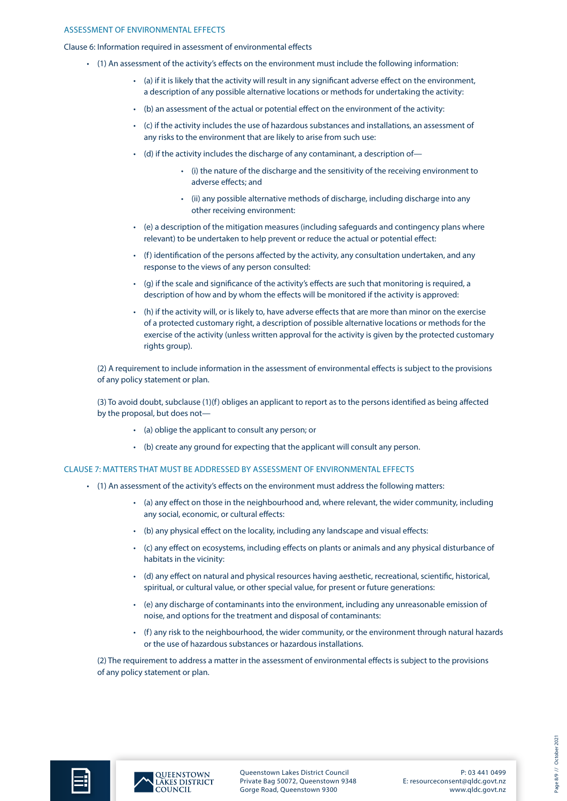#### ASSESSMENT OF ENVIRONMENTAL EFFECTS

Clause 6: Information required in assessment of environmental effects

- (1) An assessment of the activity's effects on the environment must include the following information:
	- (a) if it is likely that the activity will result in any significant adverse effect on the environment, a description of any possible alternative locations or methods for undertaking the activity:
	- (b) an assessment of the actual or potential effect on the environment of the activity:
	- (c) if the activity includes the use of hazardous substances and installations, an assessment of any risks to the environment that are likely to arise from such use:
	- (d) if the activity includes the discharge of any contaminant, a description of—
		- (i) the nature of the discharge and the sensitivity of the receiving environment to adverse effects; and
		- (ii) any possible alternative methods of discharge, including discharge into any other receiving environment:
	- (e) a description of the mitigation measures (including safeguards and contingency plans where relevant) to be undertaken to help prevent or reduce the actual or potential effect:
	- (f) identification of the persons affected by the activity, any consultation undertaken, and any response to the views of any person consulted:
	- (g) if the scale and significance of the activity's effects are such that monitoring is required, a description of how and by whom the effects will be monitored if the activity is approved:
	- (h) if the activity will, or is likely to, have adverse effects that are more than minor on the exercise of a protected customary right, a description of possible alternative locations or methods for the exercise of the activity (unless written approval for the activity is given by the protected customary rights group).

(2) A requirement to include information in the assessment of environmental effects is subject to the provisions of any policy statement or plan.

(3) To avoid doubt, subclause (1)(f) obliges an applicant to report as to the persons identified as being affected by the proposal, but does not—

- (a) oblige the applicant to consult any person; or
- (b) create any ground for expecting that the applicant will consult any person.

CLAUSE 7: MATTERS THAT MUST BE ADDRESSED BY ASSESSMENT OF ENVIRONMENTAL EFFECTS

- (1) An assessment of the activity's effects on the environment must address the following matters:
	- (a) any effect on those in the neighbourhood and, where relevant, the wider community, including any social, economic, or cultural effects:
	- (b) any physical effect on the locality, including any landscape and visual effects:
	- (c) any effect on ecosystems, including effects on plants or animals and any physical disturbance of habitats in the vicinity:
	- (d) any effect on natural and physical resources having aesthetic, recreational, scientific, historical, spiritual, or cultural value, or other special value, for present or future generations:
	- (e) any discharge of contaminants into the environment, including any unreasonable emission of noise, and options for the treatment and disposal of contaminants:
	- (f) any risk to the neighbourhood, the wider community, or the environment through natural hazards or the use of hazardous substances or hazardous installations.

(2) The requirement to address a matter in the assessment of environmental effects is subject to the provisions of any policy statement or plan.